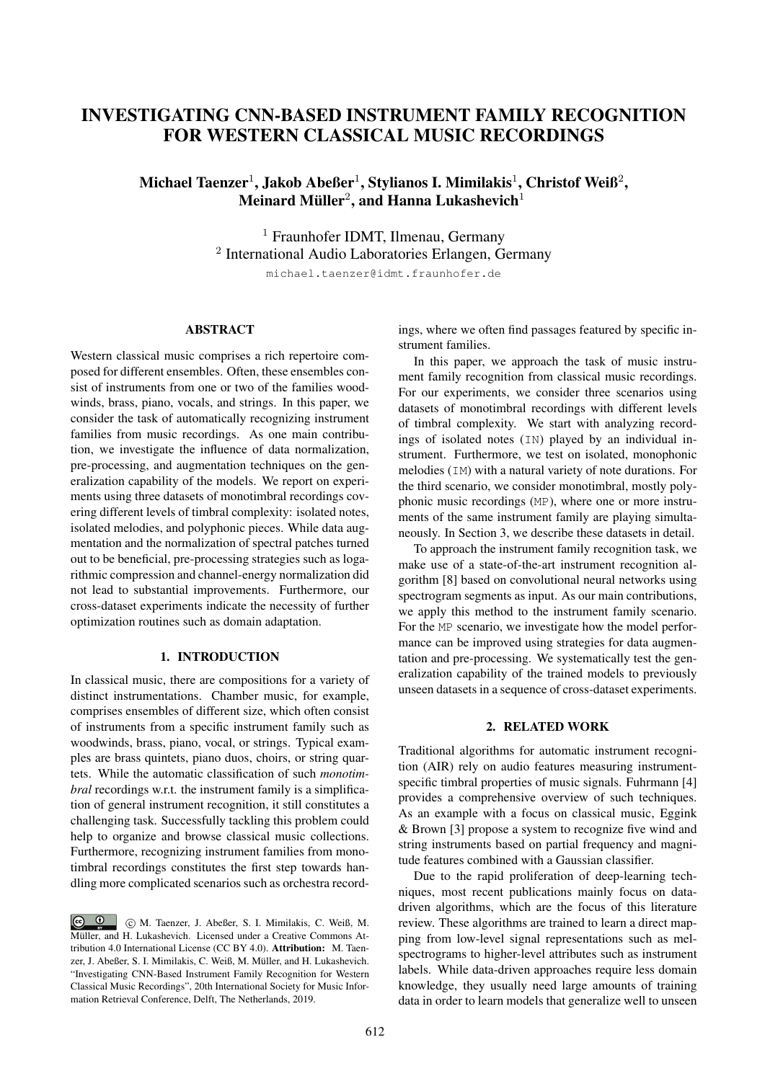# INVESTIGATING CNN-BASED INSTRUMENT FAMILY RECOGNITION FOR WESTERN CLASSICAL MUSIC RECORDINGS

## Michael Taenzer $^1$ , Jakob Abeßer $^1$ , Stylianos I. Mimilakis $^1$ , Christof Weiß $^2$ , Meinard Müller $^2$ , and Hanna Lukashevich $^1$

<sup>1</sup> Fraunhofer IDMT, Ilmenau, Germany <sup>2</sup> International Audio Laboratories Erlangen, Germany michael.taenzer@idmt.fraunhofer.de

#### ABSTRACT

Western classical music comprises a rich repertoire composed for different ensembles. Often, these ensembles consist of instruments from one or two of the families woodwinds, brass, piano, vocals, and strings. In this paper, we consider the task of automatically recognizing instrument families from music recordings. As one main contribution, we investigate the influence of data normalization, pre-processing, and augmentation techniques on the generalization capability of the models. We report on experiments using three datasets of monotimbral recordings covering different levels of timbral complexity: isolated notes, isolated melodies, and polyphonic pieces. While data augmentation and the normalization of spectral patches turned out to be beneficial, pre-processing strategies such as logarithmic compression and channel-energy normalization did not lead to substantial improvements. Furthermore, our cross-dataset experiments indicate the necessity of further optimization routines such as domain adaptation.

## 1. INTRODUCTION

In classical music, there are compositions for a variety of distinct instrumentations. Chamber music, for example, comprises ensembles of different size, which often consist of instruments from a specific instrument family such as woodwinds, brass, piano, vocal, or strings. Typical examples are brass quintets, piano duos, choirs, or string quartets. While the automatic classification of such *monotimbral* recordings w.r.t. the instrument family is a simplification of general instrument recognition, it still constitutes a challenging task. Successfully tackling this problem could help to organize and browse classical music collections. Furthermore, recognizing instrument families from monotimbral recordings constitutes the first step towards handling more complicated scenarios such as orchestra recordings, where we often find passages featured by specific instrument families.

In this paper, we approach the task of music instrument family recognition from classical music recordings. For our experiments, we consider three scenarios using datasets of monotimbral recordings with different levels of timbral complexity. We start with analyzing recordings of isolated notes (IN) played by an individual instrument. Furthermore, we test on isolated, monophonic melodies (IM) with a natural variety of note durations. For the third scenario, we consider monotimbral, mostly polyphonic music recordings (MP), where one or more instruments of the same instrument family are playing simultaneously. In Section 3, we describe these datasets in detail.

To approach the instrument family recognition task, we make use of a state-of-the-art instrument recognition algorithm [8] based on convolutional neural networks using spectrogram segments as input. As our main contributions, we apply this method to the instrument family scenario. For the MP scenario, we investigate how the model performance can be improved using strategies for data augmentation and pre-processing. We systematically test the generalization capability of the trained models to previously unseen datasets in a sequence of cross-dataset experiments.

#### 2. RELATED WORK

Traditional algorithms for automatic instrument recognition (AIR) rely on audio features measuring instrumentspecific timbral properties of music signals. Fuhrmann [4] provides a comprehensive overview of such techniques. As an example with a focus on classical music, Eggink & Brown [3] propose a system to recognize five wind and string instruments based on partial frequency and magnitude features combined with a Gaussian classifier.

Due to the rapid proliferation of deep-learning techniques, most recent publications mainly focus on datadriven algorithms, which are the focus of this literature review. These algorithms are trained to learn a direct mapping from low-level signal representations such as melspectrograms to higher-level attributes such as instrument labels. While data-driven approaches require less domain knowledge, they usually need large amounts of training data in order to learn models that generalize well to unseen

 $\circ$   $\circ$  c M. Taenzer, J. Abeßer, S. I. Mimilakis, C. Weiß, M. Müller, and H. Lukashevich. Licensed under a Creative Commons Attribution 4.0 International License (CC BY 4.0). Attribution: M. Taenzer, J. Abeßer, S. I. Mimilakis, C. Weiß, M. Müller, and H. Lukashevich. "Investigating CNN-Based Instrument Family Recognition for Western Classical Music Recordings", 20th International Society for Music Information Retrieval Conference, Delft, The Netherlands, 2019.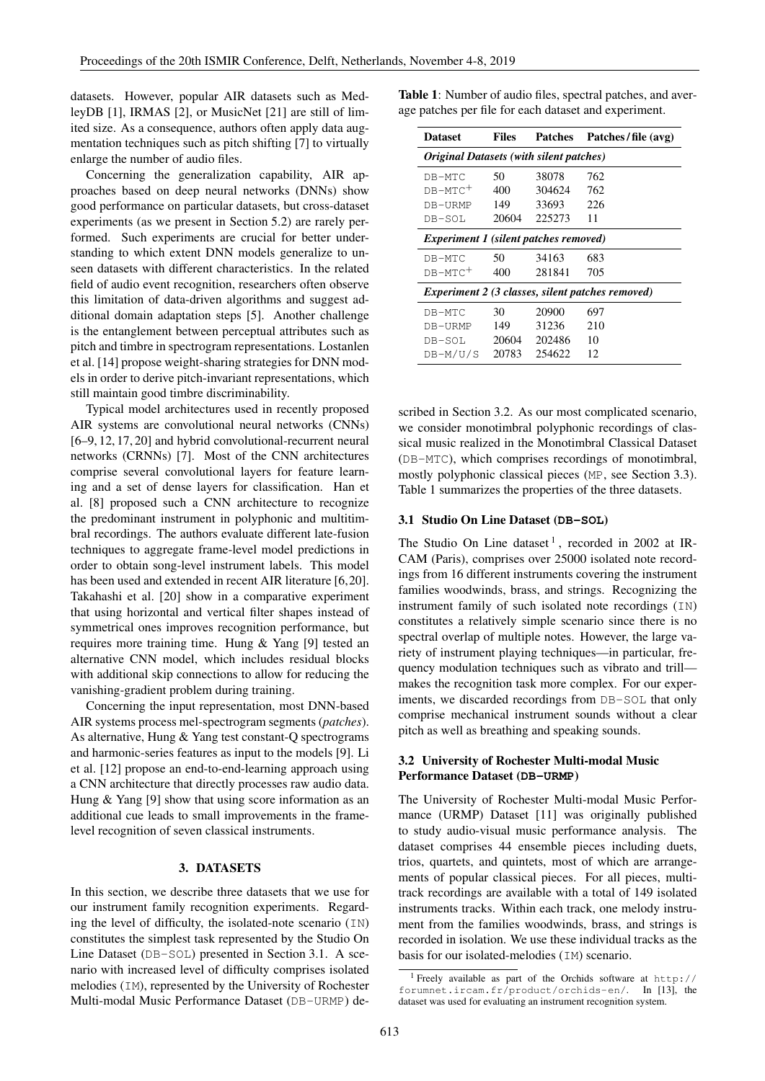datasets. However, popular AIR datasets such as MedleyDB [1], IRMAS [2], or MusicNet [21] are still of limited size. As a consequence, authors often apply data augmentation techniques such as pitch shifting [7] to virtually enlarge the number of audio files.

Concerning the generalization capability, AIR approaches based on deep neural networks (DNNs) show good performance on particular datasets, but cross-dataset experiments (as we present in Section 5.2) are rarely performed. Such experiments are crucial for better understanding to which extent DNN models generalize to unseen datasets with different characteristics. In the related field of audio event recognition, researchers often observe this limitation of data-driven algorithms and suggest additional domain adaptation steps [5]. Another challenge is the entanglement between perceptual attributes such as pitch and timbre in spectrogram representations. Lostanlen et al. [14] propose weight-sharing strategies for DNN models in order to derive pitch-invariant representations, which still maintain good timbre discriminability.

Typical model architectures used in recently proposed AIR systems are convolutional neural networks (CNNs) [6–9, 12, 17, 20] and hybrid convolutional-recurrent neural networks (CRNNs) [7]. Most of the CNN architectures comprise several convolutional layers for feature learning and a set of dense layers for classification. Han et al. [8] proposed such a CNN architecture to recognize the predominant instrument in polyphonic and multitimbral recordings. The authors evaluate different late-fusion techniques to aggregate frame-level model predictions in order to obtain song-level instrument labels. This model has been used and extended in recent AIR literature [6,20]. Takahashi et al. [20] show in a comparative experiment that using horizontal and vertical filter shapes instead of symmetrical ones improves recognition performance, but requires more training time. Hung & Yang [9] tested an alternative CNN model, which includes residual blocks with additional skip connections to allow for reducing the vanishing-gradient problem during training.

Concerning the input representation, most DNN-based AIR systems process mel-spectrogram segments (*patches*). As alternative, Hung & Yang test constant-Q spectrograms and harmonic-series features as input to the models [9]. Li et al. [12] propose an end-to-end-learning approach using a CNN architecture that directly processes raw audio data. Hung & Yang [9] show that using score information as an additional cue leads to small improvements in the framelevel recognition of seven classical instruments.

#### 3. DATASETS

In this section, we describe three datasets that we use for our instrument family recognition experiments. Regarding the level of difficulty, the isolated-note scenario (IN) constitutes the simplest task represented by the Studio On Line Dataset (DB-SOL) presented in Section 3.1. A scenario with increased level of difficulty comprises isolated melodies (IM), represented by the University of Rochester Multi-modal Music Performance Dataset (DB-URMP) deTable 1: Number of audio files, spectral patches, and average patches per file for each dataset and experiment.

| <b>Dataset</b>                                        | <b>Files</b> | Patches | Patches/file (avg)                               |  |  |  |  |  |  |  |
|-------------------------------------------------------|--------------|---------|--------------------------------------------------|--|--|--|--|--|--|--|
| <i><b>Original Datasets (with silent patches)</b></i> |              |         |                                                  |  |  |  |  |  |  |  |
| DB-MTC                                                | 50           | 38078   | 762                                              |  |  |  |  |  |  |  |
| $DB-MTC^+$                                            | 400          | 304624  | 762                                              |  |  |  |  |  |  |  |
| DB-URMP                                               | 149          | 33693   | 226                                              |  |  |  |  |  |  |  |
| DB-SOL                                                | 20604        | 225273  | 11                                               |  |  |  |  |  |  |  |
| <b>Experiment 1 (silent patches removed)</b>          |              |         |                                                  |  |  |  |  |  |  |  |
| DB-MTC                                                | 50           | 34163   | 683                                              |  |  |  |  |  |  |  |
| $DB-MTC^+$                                            | 400          | 281841  | 705                                              |  |  |  |  |  |  |  |
|                                                       |              |         | Experiment 2 (3 classes, silent patches removed) |  |  |  |  |  |  |  |
| DB-MTC                                                | 30           | 20900   | 697                                              |  |  |  |  |  |  |  |
| DB-URMP                                               | 149          | 31236   | 210                                              |  |  |  |  |  |  |  |
| DB-SOL                                                | 20604        | 202486  | 10                                               |  |  |  |  |  |  |  |
| DB-M/U/S                                              | 20783        | 254622  | 12                                               |  |  |  |  |  |  |  |

scribed in Section 3.2. As our most complicated scenario, we consider monotimbral polyphonic recordings of classical music realized in the Monotimbral Classical Dataset (DB-MTC), which comprises recordings of monotimbral, mostly polyphonic classical pieces (MP, see Section 3.3). Table 1 summarizes the properties of the three datasets.

#### 3.1 Studio On Line Dataset (**DB-SOL**)

The Studio On Line dataset<sup>1</sup>, recorded in 2002 at IR-CAM (Paris), comprises over 25000 isolated note recordings from 16 different instruments covering the instrument families woodwinds, brass, and strings. Recognizing the instrument family of such isolated note recordings (IN) constitutes a relatively simple scenario since there is no spectral overlap of multiple notes. However, the large variety of instrument playing techniques—in particular, frequency modulation techniques such as vibrato and trill makes the recognition task more complex. For our experiments, we discarded recordings from DB-SOL that only comprise mechanical instrument sounds without a clear pitch as well as breathing and speaking sounds.

## 3.2 University of Rochester Multi-modal Music Performance Dataset (**DB-URMP**)

The University of Rochester Multi-modal Music Performance (URMP) Dataset [11] was originally published to study audio-visual music performance analysis. The dataset comprises 44 ensemble pieces including duets, trios, quartets, and quintets, most of which are arrangements of popular classical pieces. For all pieces, multitrack recordings are available with a total of 149 isolated instruments tracks. Within each track, one melody instrument from the families woodwinds, brass, and strings is recorded in isolation. We use these individual tracks as the basis for our isolated-melodies (IM) scenario.

<sup>&</sup>lt;sup>1</sup> Freely available as part of the Orchids software at  $http://$ forumnet.ircam.fr/product/orchids-en/. In [13], the dataset was used for evaluating an instrument recognition system.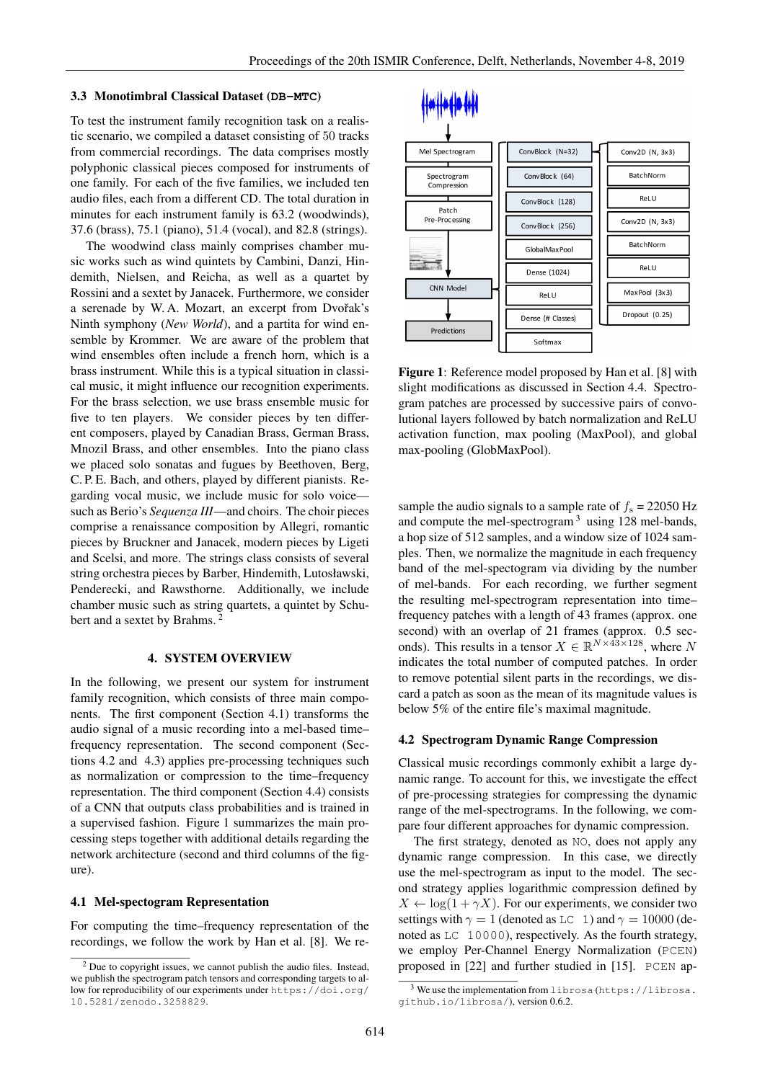#### 3.3 Monotimbral Classical Dataset (**DB-MTC**)

To test the instrument family recognition task on a realistic scenario, we compiled a dataset consisting of 50 tracks from commercial recordings. The data comprises mostly polyphonic classical pieces composed for instruments of one family. For each of the five families, we included ten audio files, each from a different CD. The total duration in minutes for each instrument family is 63.2 (woodwinds), 37.6 (brass), 75.1 (piano), 51.4 (vocal), and 82.8 (strings).

The woodwind class mainly comprises chamber music works such as wind quintets by Cambini, Danzi, Hindemith, Nielsen, and Reicha, as well as a quartet by Rossini and a sextet by Janacek. Furthermore, we consider a serenade by W. A. Mozart, an excerpt from Dvořak's Ninth symphony (*New World*), and a partita for wind ensemble by Krommer. We are aware of the problem that wind ensembles often include a french horn, which is a brass instrument. While this is a typical situation in classical music, it might influence our recognition experiments. For the brass selection, we use brass ensemble music for five to ten players. We consider pieces by ten different composers, played by Canadian Brass, German Brass, Mnozil Brass, and other ensembles. Into the piano class we placed solo sonatas and fugues by Beethoven, Berg, C. P. E. Bach, and others, played by different pianists. Regarding vocal music, we include music for solo voice such as Berio's *Sequenza III*—and choirs. The choir pieces comprise a renaissance composition by Allegri, romantic pieces by Bruckner and Janacek, modern pieces by Ligeti and Scelsi, and more. The strings class consists of several string orchestra pieces by Barber, Hindemith, Lutosławski, Penderecki, and Rawsthorne. Additionally, we include chamber music such as string quartets, a quintet by Schubert and a sextet by Brahms.

#### 4. SYSTEM OVERVIEW

In the following, we present our system for instrument family recognition, which consists of three main components. The first component (Section 4.1) transforms the audio signal of a music recording into a mel-based time– frequency representation. The second component (Sections 4.2 and 4.3) applies pre-processing techniques such as normalization or compression to the time–frequency representation. The third component (Section 4.4) consists of a CNN that outputs class probabilities and is trained in a supervised fashion. Figure 1 summarizes the main processing steps together with additional details regarding the network architecture (second and third columns of the figure).

#### 4.1 Mel-spectogram Representation

For computing the time–frequency representation of the recordings, we follow the work by Han et al. [8]. We re-



Figure 1: Reference model proposed by Han et al. [8] with slight modifications as discussed in Section 4.4. Spectrogram patches are processed by successive pairs of convolutional layers followed by batch normalization and ReLU activation function, max pooling (MaxPool), and global max-pooling (GlobMaxPool).

sample the audio signals to a sample rate of  $f_s = 22050$  Hz and compute the mel-spectrogram  $3$  using 128 mel-bands, a hop size of 512 samples, and a window size of 1024 samples. Then, we normalize the magnitude in each frequency band of the mel-spectogram via dividing by the number of mel-bands. For each recording, we further segment the resulting mel-spectrogram representation into time– frequency patches with a length of 43 frames (approx. one second) with an overlap of 21 frames (approx. 0.5 seconds). This results in a tensor  $X \in \mathbb{R}^{N \times 43 \times 128}$ , where N indicates the total number of computed patches. In order to remove potential silent parts in the recordings, we discard a patch as soon as the mean of its magnitude values is below 5% of the entire file's maximal magnitude.

#### 4.2 Spectrogram Dynamic Range Compression

Classical music recordings commonly exhibit a large dynamic range. To account for this, we investigate the effect of pre-processing strategies for compressing the dynamic range of the mel-spectrograms. In the following, we compare four different approaches for dynamic compression.

The first strategy, denoted as NO, does not apply any dynamic range compression. In this case, we directly use the mel-spectrogram as input to the model. The second strategy applies logarithmic compression defined by  $X \leftarrow \log(1 + \gamma X)$ . For our experiments, we consider two settings with  $\gamma = 1$  (denoted as LC 1) and  $\gamma = 10000$  (denoted as LC 10000), respectively. As the fourth strategy, we employ Per-Channel Energy Normalization (PCEN) proposed in [22] and further studied in [15]. PCEN ap-

<sup>2</sup> Due to copyright issues, we cannot publish the audio files. Instead, we publish the spectrogram patch tensors and corresponding targets to allow for reproducibility of our experiments under https://doi.org/ 10.5281/zenodo.3258829.

<sup>3</sup> We use the implementation from librosa (https://librosa. github.io/librosa/), version 0.6.2.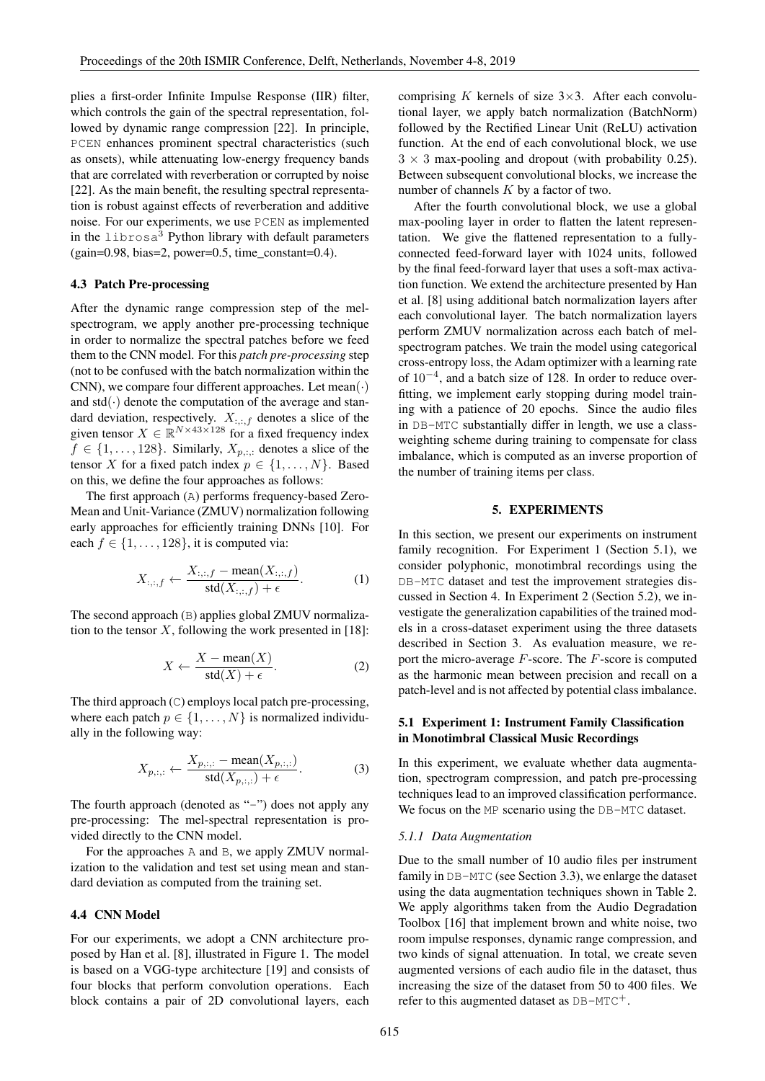plies a first-order Infinite Impulse Response (IIR) filter, which controls the gain of the spectral representation, followed by dynamic range compression [22]. In principle, PCEN enhances prominent spectral characteristics (such as onsets), while attenuating low-energy frequency bands that are correlated with reverberation or corrupted by noise [22]. As the main benefit, the resulting spectral representation is robust against effects of reverberation and additive noise. For our experiments, we use PCEN as implemented in the librosa<sup>3</sup> Python library with default parameters  $(gain=0.98, bias=2, power=0.5, time constant=0.4).$ 

## 4.3 Patch Pre-processing

After the dynamic range compression step of the melspectrogram, we apply another pre-processing technique in order to normalize the spectral patches before we feed them to the CNN model. For this *patch pre-processing* step (not to be confused with the batch normalization within the CNN), we compare four different approaches. Let  $mean(\cdot)$ and  $std(\cdot)$  denote the computation of the average and standard deviation, respectively.  $X_{\cdots f}$  denotes a slice of the given tensor  $X \in \mathbb{R}^{N \times 43 \times 128}$  for a fixed frequency index  $f \in \{1, \ldots, 128\}$ . Similarly,  $X_{p, \ldots}$  denotes a slice of the tensor X for a fixed patch index  $p \in \{1, \ldots, N\}$ . Based on this, we define the four approaches as follows:

The first approach (A) performs frequency-based Zero-Mean and Unit-Variance (ZMUV) normalization following early approaches for efficiently training DNNs [10]. For each  $f \in \{1, \ldots, 128\}$ , it is computed via:

$$
X_{:,:,f} \leftarrow \frac{X_{:,:,f} - \text{mean}(X_{:,:,f})}{\text{std}(X_{:,:,f}) + \epsilon}.
$$
 (1)

The second approach (B) applies global ZMUV normalization to the tensor  $X$ , following the work presented in [18]:

$$
X \leftarrow \frac{X - \text{mean}(X)}{\text{std}(X) + \epsilon}.
$$
 (2)

The third approach (C) employs local patch pre-processing, where each patch  $p \in \{1, \ldots, N\}$  is normalized individually in the following way:

$$
X_{p,:,:} \leftarrow \frac{X_{p,:,:} - \text{mean}(X_{p,:,:})}{\text{std}(X_{p,:,:}) + \epsilon}.
$$
 (3)

The fourth approach (denoted as "-") does not apply any pre-processing: The mel-spectral representation is provided directly to the CNN model.

For the approaches A and B, we apply ZMUV normalization to the validation and test set using mean and standard deviation as computed from the training set.

#### 4.4 CNN Model

For our experiments, we adopt a CNN architecture proposed by Han et al. [8], illustrated in Figure 1. The model is based on a VGG-type architecture [19] and consists of four blocks that perform convolution operations. Each block contains a pair of 2D convolutional layers, each comprising K kernels of size  $3\times3$ . After each convolutional layer, we apply batch normalization (BatchNorm) followed by the Rectified Linear Unit (ReLU) activation function. At the end of each convolutional block, we use  $3 \times 3$  max-pooling and dropout (with probability 0.25). Between subsequent convolutional blocks, we increase the number of channels  $K$  by a factor of two.

After the fourth convolutional block, we use a global max-pooling layer in order to flatten the latent representation. We give the flattened representation to a fullyconnected feed-forward layer with 1024 units, followed by the final feed-forward layer that uses a soft-max activation function. We extend the architecture presented by Han et al. [8] using additional batch normalization layers after each convolutional layer. The batch normalization layers perform ZMUV normalization across each batch of melspectrogram patches. We train the model using categorical cross-entropy loss, the Adam optimizer with a learning rate of 10<sup>−</sup><sup>4</sup> , and a batch size of 128. In order to reduce overfitting, we implement early stopping during model training with a patience of 20 epochs. Since the audio files in DB-MTC substantially differ in length, we use a classweighting scheme during training to compensate for class imbalance, which is computed as an inverse proportion of the number of training items per class.

#### 5. EXPERIMENTS

In this section, we present our experiments on instrument family recognition. For Experiment 1 (Section 5.1), we consider polyphonic, monotimbral recordings using the DB-MTC dataset and test the improvement strategies discussed in Section 4. In Experiment 2 (Section 5.2), we investigate the generalization capabilities of the trained models in a cross-dataset experiment using the three datasets described in Section 3. As evaluation measure, we report the micro-average  $F$ -score. The  $F$ -score is computed as the harmonic mean between precision and recall on a patch-level and is not affected by potential class imbalance.

## 5.1 Experiment 1: Instrument Family Classification in Monotimbral Classical Music Recordings

In this experiment, we evaluate whether data augmentation, spectrogram compression, and patch pre-processing techniques lead to an improved classification performance. We focus on the MP scenario using the DB-MTC dataset.

#### *5.1.1 Data Augmentation*

Due to the small number of 10 audio files per instrument family in DB-MTC (see Section 3.3), we enlarge the dataset using the data augmentation techniques shown in Table 2. We apply algorithms taken from the Audio Degradation Toolbox [16] that implement brown and white noise, two room impulse responses, dynamic range compression, and two kinds of signal attenuation. In total, we create seven augmented versions of each audio file in the dataset, thus increasing the size of the dataset from 50 to 400 files. We refer to this augmented dataset as  $DB-MTC^+$ .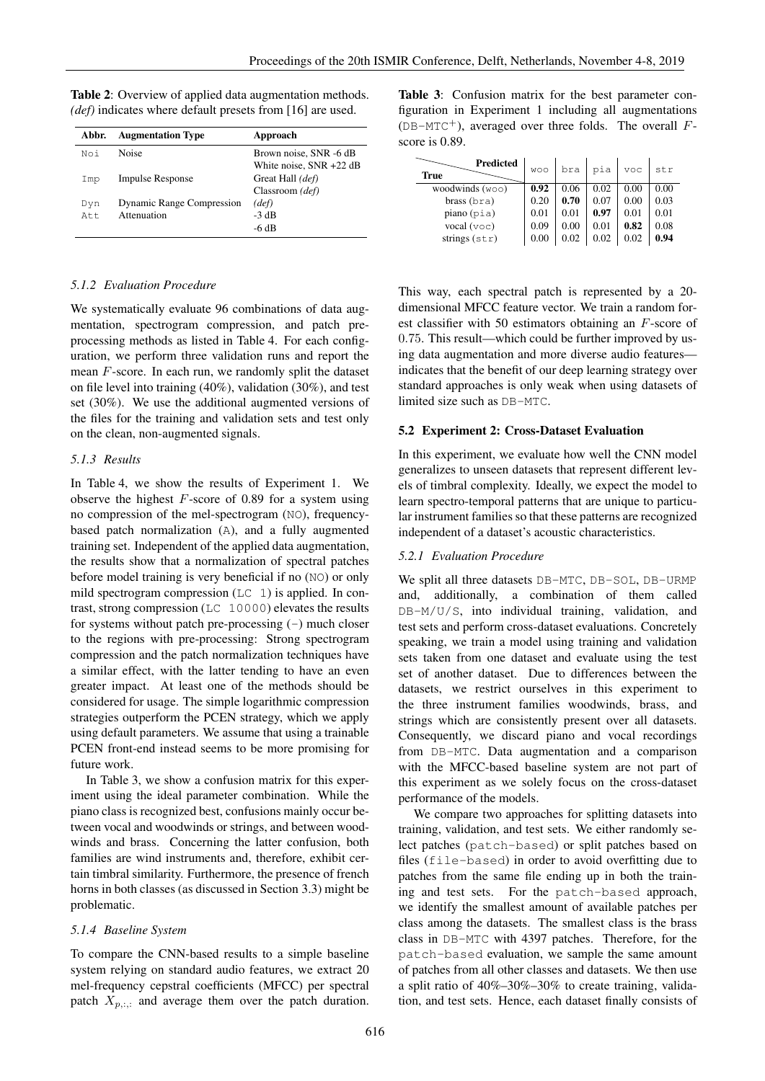| Abbr. | <b>Augmentation Type</b>  | Approach                   |
|-------|---------------------------|----------------------------|
| Noi   | <b>Noise</b>              | Brown noise, SNR -6 dB     |
|       |                           | White noise, $SNR + 22 dB$ |
| Imp   | <b>Impulse Response</b>   | Great Hall (def)           |
|       |                           | Classroom (def)            |
| Dyn   | Dynamic Range Compression | (def)                      |
| At.t. | Attenuation               | $-3$ dB                    |
|       |                           | -6 dB                      |

Table 2: Overview of applied data augmentation methods. *(def)* indicates where default presets from [16] are used.

## *5.1.2 Evaluation Procedure*

We systematically evaluate 96 combinations of data augmentation, spectrogram compression, and patch preprocessing methods as listed in Table 4. For each configuration, we perform three validation runs and report the mean  $F$ -score. In each run, we randomly split the dataset on file level into training (40%), validation (30%), and test set (30%). We use the additional augmented versions of the files for the training and validation sets and test only on the clean, non-augmented signals.

#### *5.1.3 Results*

In Table 4, we show the results of Experiment 1. We observe the highest  $F$ -score of 0.89 for a system using no compression of the mel-spectrogram (NO), frequencybased patch normalization (A), and a fully augmented training set. Independent of the applied data augmentation, the results show that a normalization of spectral patches before model training is very beneficial if no (NO) or only mild spectrogram compression (LC 1) is applied. In contrast, strong compression (LC 10000) elevates the results for systems without patch pre-processing  $(-)$  much closer to the regions with pre-processing: Strong spectrogram compression and the patch normalization techniques have a similar effect, with the latter tending to have an even greater impact. At least one of the methods should be considered for usage. The simple logarithmic compression strategies outperform the PCEN strategy, which we apply using default parameters. We assume that using a trainable PCEN front-end instead seems to be more promising for future work.

In Table 3, we show a confusion matrix for this experiment using the ideal parameter combination. While the piano class is recognized best, confusions mainly occur between vocal and woodwinds or strings, and between woodwinds and brass. Concerning the latter confusion, both families are wind instruments and, therefore, exhibit certain timbral similarity. Furthermore, the presence of french horns in both classes (as discussed in Section 3.3) might be problematic.

#### *5.1.4 Baseline System*

To compare the CNN-based results to a simple baseline system relying on standard audio features, we extract 20 mel-frequency cepstral coefficients (MFCC) per spectral patch  $X_{p, \ldots}$  and average them over the patch duration. Table 3: Confusion matrix for the best parameter configuration in Experiment 1 including all augmentations  $(DB-MTC^+)$ , averaged over three folds. The overall Fscore is 0.89.

| Predicted<br><b>True</b>    | <b>WOO</b> | bra  | pia  | VOC  | str  |
|-----------------------------|------------|------|------|------|------|
| woodwinds $(w \circ \circ)$ | 0.92       | 0.06 | 0.02 | 0.00 | 0.00 |
| brass (bra)                 | 0.20       | 0.70 | 0.07 | 0.00 | 0.03 |
| piano(pia)                  | 0.01       | 0.01 | 0.97 | 0.01 | 0.01 |
| vocal (voc)                 | 0.09       | 0.00 | 0.01 | 0.82 | 0.08 |
| strings $(\text{str})$      | 0.00       | 0.02 | 0.02 | 0.02 | 0.94 |

This way, each spectral patch is represented by a 20 dimensional MFCC feature vector. We train a random forest classifier with 50 estimators obtaining an F-score of 0.75. This result—which could be further improved by using data augmentation and more diverse audio features indicates that the benefit of our deep learning strategy over standard approaches is only weak when using datasets of limited size such as DB-MTC.

#### 5.2 Experiment 2: Cross-Dataset Evaluation

In this experiment, we evaluate how well the CNN model generalizes to unseen datasets that represent different levels of timbral complexity. Ideally, we expect the model to learn spectro-temporal patterns that are unique to particular instrument families so that these patterns are recognized independent of a dataset's acoustic characteristics.

## *5.2.1 Evaluation Procedure*

We split all three datasets DB-MTC, DB-SOL, DB-URMP and, additionally, a combination of them called DB-M/U/S, into individual training, validation, and test sets and perform cross-dataset evaluations. Concretely speaking, we train a model using training and validation sets taken from one dataset and evaluate using the test set of another dataset. Due to differences between the datasets, we restrict ourselves in this experiment to the three instrument families woodwinds, brass, and strings which are consistently present over all datasets. Consequently, we discard piano and vocal recordings from DB-MTC. Data augmentation and a comparison with the MFCC-based baseline system are not part of this experiment as we solely focus on the cross-dataset performance of the models.

We compare two approaches for splitting datasets into training, validation, and test sets. We either randomly select patches (patch-based) or split patches based on files (file-based) in order to avoid overfitting due to patches from the same file ending up in both the training and test sets. For the patch-based approach, we identify the smallest amount of available patches per class among the datasets. The smallest class is the brass class in DB-MTC with 4397 patches. Therefore, for the patch-based evaluation, we sample the same amount of patches from all other classes and datasets. We then use a split ratio of 40%–30%–30% to create training, validation, and test sets. Hence, each dataset finally consists of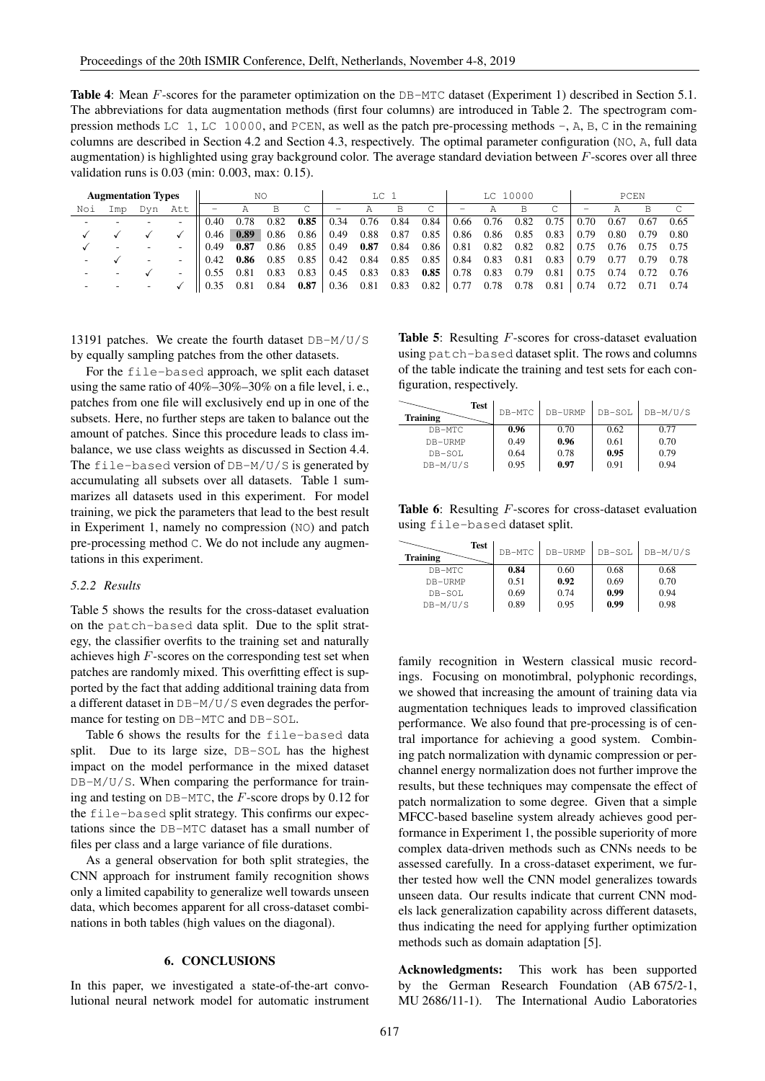Table 4: Mean F-scores for the parameter optimization on the DB-MTC dataset (Experiment 1) described in Section 5.1. The abbreviations for data augmentation methods (first four columns) are introduced in Table 2. The spectrogram compression methods LC 1, LC 10000, and PCEN, as well as the patch pre-processing methods -, A, B, C in the remaining columns are described in Section 4.2 and Section 4.3, respectively. The optimal parameter configuration (NO, A, full data augmentation) is highlighted using gray background color. The average standard deviation between  $F$ -scores over all three validation runs is 0.03 (min: 0.003, max: 0.15).

|     | <b>Augmentation Types</b> |     |                          |      | NO   |      |      |             | TC <sub>1</sub> |      | LC 10000               |                                                                           |      | PCFN |                   |      |      |           |      |
|-----|---------------------------|-----|--------------------------|------|------|------|------|-------------|-----------------|------|------------------------|---------------------------------------------------------------------------|------|------|-------------------|------|------|-----------|------|
| Noi | Imp                       | Dyn | Att                      |      |      | B    | C    | -           | A               | B    | C                      | $\hspace{1.0cm} \rule{1.5cm}{0.15cm} \hspace{1.0cm} \rule{1.5cm}{0.15cm}$ | A    | B    | C.                | -    | А    | B         |      |
|     |                           |     | $\overline{\phantom{0}}$ | 0.40 | 0.78 | 0.82 | 0.85 | 0.34        | 0.76            | 0.84 | 0.84                   | 0.66                                                                      | 0.76 | 0.82 | 0.75              | 0.70 | 0.67 | 0.67      | 0.65 |
|     |                           |     |                          | 0.46 | 0.89 | 0.86 | 0.86 | 0.49        | 0.88            | 0.87 | 0.85                   | 0.86 0.86                                                                 |      | 0.85 | $0.83$            | 0.79 | 0.80 | 0.79      | 0.80 |
|     |                           |     | $\overline{\phantom{0}}$ | 0.49 | 0.87 | 0.86 | 0.85 | 0.49        | 0.87            |      | $0.84$ $0.86$   $0.81$ |                                                                           | 0.82 |      | $0.82 \quad 0.82$ | 0.75 | 0.76 | 0.75 0.75 |      |
|     |                           |     | $\overline{\phantom{a}}$ | 0.42 | 0.86 | 0.85 | 0.85 | $0.42$ 0.84 |                 |      | $0.85$ 0.85 0.84       |                                                                           | 0.83 | 0.81 | $0.83 \pm 0.79$   |      | 0.77 | 0.79 0.78 |      |
|     |                           |     | $\overline{\phantom{a}}$ | 0.55 | 0.81 | 0.83 | 0.83 | 0.45        | 0.83            | 0.83 | 0.85                   | 0.78                                                                      | 0.83 | 0.79 | 0.81              | 0.75 | 0.74 | 0.72      | 0.76 |
|     |                           |     |                          | 0.35 | 0.81 | 0.84 | 0.87 | 0.36 0.81   |                 |      |                        | $0.83 \quad 0.82 \mid 0.77$                                               | 0.78 | 0.78 | 0.81              | 0.74 | 0.72 | 0.71      | 0.74 |

13191 patches. We create the fourth dataset DB-M/U/S by equally sampling patches from the other datasets.

For the file-based approach, we split each dataset using the same ratio of 40%–30%–30% on a file level, i. e., patches from one file will exclusively end up in one of the subsets. Here, no further steps are taken to balance out the amount of patches. Since this procedure leads to class imbalance, we use class weights as discussed in Section 4.4. The file-based version of DB-M/U/S is generated by accumulating all subsets over all datasets. Table 1 summarizes all datasets used in this experiment. For model training, we pick the parameters that lead to the best result in Experiment 1, namely no compression (NO) and patch pre-processing method C. We do not include any augmentations in this experiment.

#### *5.2.2 Results*

Table 5 shows the results for the cross-dataset evaluation on the patch-based data split. Due to the split strategy, the classifier overfits to the training set and naturally achieves high  $F$ -scores on the corresponding test set when patches are randomly mixed. This overfitting effect is supported by the fact that adding additional training data from a different dataset in DB-M/U/S even degrades the performance for testing on DB-MTC and DB-SOL.

Table 6 shows the results for the file-based data split. Due to its large size, DB-SOL has the highest impact on the model performance in the mixed dataset  $DB-M/U/S$ . When comparing the performance for training and testing on  $DB-MTC$ , the F-score drops by 0.12 for the file-based split strategy. This confirms our expectations since the DB-MTC dataset has a small number of files per class and a large variance of file durations.

As a general observation for both split strategies, the CNN approach for instrument family recognition shows only a limited capability to generalize well towards unseen data, which becomes apparent for all cross-dataset combinations in both tables (high values on the diagonal).

### 6. CONCLUSIONS

In this paper, we investigated a state-of-the-art convolutional neural network model for automatic instrument

Table 5: Resulting F-scores for cross-dataset evaluation using patch-based dataset split. The rows and columns of the table indicate the training and test sets for each configuration, respectively.

| <b>Test</b><br><b>Training</b> | DB-MTC | DB-URMP | DB-SOL | $DB-M/U/S$ |
|--------------------------------|--------|---------|--------|------------|
| DB-MTC                         | 0.96   | 0.70    | 0.62   | 0.77       |
| DB-URMP                        | 0.49   | 0.96    | 0.61   | 0.70       |
| DB-SOL                         | 0.64   | 0.78    | 0.95   | 0.79       |
| $DB-M/U/S$                     | 0.95   | 0.97    | 0.91   | 0.94       |

Table 6: Resulting F-scores for cross-dataset evaluation using file-based dataset split.

| <b>Test</b><br><b>Training</b> | DB-MTC | DB-URMP | DB-SOL | $DB-M/U/S$ |
|--------------------------------|--------|---------|--------|------------|
| DB-MTC                         | 0.84   | 0.60    | 0.68   | 0.68       |
| DB-URMP                        | 0.51   | 0.92    | 0.69   | 0.70       |
| DB-SOL                         | 0.69   | 0.74    | 0.99   | 0.94       |
| $DB-M/U/S$                     | 0.89   | 0.95    | 0.99   | 0.98       |

family recognition in Western classical music recordings. Focusing on monotimbral, polyphonic recordings, we showed that increasing the amount of training data via augmentation techniques leads to improved classification performance. We also found that pre-processing is of central importance for achieving a good system. Combining patch normalization with dynamic compression or perchannel energy normalization does not further improve the results, but these techniques may compensate the effect of patch normalization to some degree. Given that a simple MFCC-based baseline system already achieves good performance in Experiment 1, the possible superiority of more complex data-driven methods such as CNNs needs to be assessed carefully. In a cross-dataset experiment, we further tested how well the CNN model generalizes towards unseen data. Our results indicate that current CNN models lack generalization capability across different datasets, thus indicating the need for applying further optimization methods such as domain adaptation [5].

Acknowledgments: This work has been supported by the German Research Foundation (AB 675/2-1, MU 2686/11-1). The International Audio Laboratories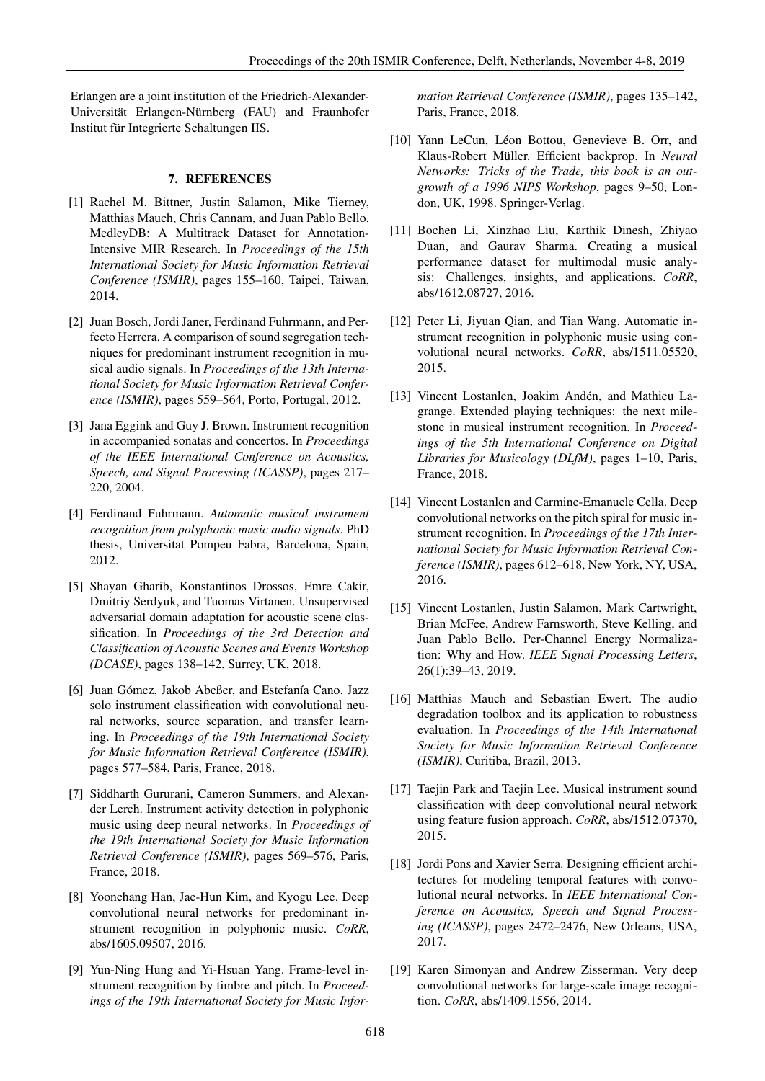Erlangen are a joint institution of the Friedrich-Alexander-Universität Erlangen-Nürnberg (FAU) and Fraunhofer Institut für Integrierte Schaltungen IIS.

## 7. REFERENCES

- [1] Rachel M. Bittner, Justin Salamon, Mike Tierney, Matthias Mauch, Chris Cannam, and Juan Pablo Bello. MedleyDB: A Multitrack Dataset for Annotation-Intensive MIR Research. In *Proceedings of the 15th International Society for Music Information Retrieval Conference (ISMIR)*, pages 155–160, Taipei, Taiwan, 2014.
- [2] Juan Bosch, Jordi Janer, Ferdinand Fuhrmann, and Perfecto Herrera. A comparison of sound segregation techniques for predominant instrument recognition in musical audio signals. In *Proceedings of the 13th International Society for Music Information Retrieval Conference (ISMIR)*, pages 559–564, Porto, Portugal, 2012.
- [3] Jana Eggink and Guy J. Brown. Instrument recognition in accompanied sonatas and concertos. In *Proceedings of the IEEE International Conference on Acoustics, Speech, and Signal Processing (ICASSP)*, pages 217– 220, 2004.
- [4] Ferdinand Fuhrmann. *Automatic musical instrument recognition from polyphonic music audio signals*. PhD thesis, Universitat Pompeu Fabra, Barcelona, Spain, 2012.
- [5] Shayan Gharib, Konstantinos Drossos, Emre Cakir, Dmitriy Serdyuk, and Tuomas Virtanen. Unsupervised adversarial domain adaptation for acoustic scene classification. In *Proceedings of the 3rd Detection and Classification of Acoustic Scenes and Events Workshop (DCASE)*, pages 138–142, Surrey, UK, 2018.
- [6] Juan Gómez, Jakob Abeßer, and Estefanía Cano. Jazz solo instrument classification with convolutional neural networks, source separation, and transfer learning. In *Proceedings of the 19th International Society for Music Information Retrieval Conference (ISMIR)*, pages 577–584, Paris, France, 2018.
- [7] Siddharth Gururani, Cameron Summers, and Alexander Lerch. Instrument activity detection in polyphonic music using deep neural networks. In *Proceedings of the 19th International Society for Music Information Retrieval Conference (ISMIR)*, pages 569–576, Paris, France, 2018.
- [8] Yoonchang Han, Jae-Hun Kim, and Kyogu Lee. Deep convolutional neural networks for predominant instrument recognition in polyphonic music. *CoRR*, abs/1605.09507, 2016.
- [9] Yun-Ning Hung and Yi-Hsuan Yang. Frame-level instrument recognition by timbre and pitch. In *Proceedings of the 19th International Society for Music Infor-*

*mation Retrieval Conference (ISMIR)*, pages 135–142, Paris, France, 2018.

- [10] Yann LeCun, Léon Bottou, Genevieve B. Orr, and Klaus-Robert Müller. Efficient backprop. In *Neural Networks: Tricks of the Trade, this book is an outgrowth of a 1996 NIPS Workshop*, pages 9–50, London, UK, 1998. Springer-Verlag.
- [11] Bochen Li, Xinzhao Liu, Karthik Dinesh, Zhiyao Duan, and Gaurav Sharma. Creating a musical performance dataset for multimodal music analysis: Challenges, insights, and applications. *CoRR*, abs/1612.08727, 2016.
- [12] Peter Li, Jiyuan Qian, and Tian Wang. Automatic instrument recognition in polyphonic music using convolutional neural networks. *CoRR*, abs/1511.05520, 2015.
- [13] Vincent Lostanlen, Joakim Andén, and Mathieu Lagrange. Extended playing techniques: the next milestone in musical instrument recognition. In *Proceedings of the 5th International Conference on Digital Libraries for Musicology (DLfM)*, pages 1–10, Paris, France, 2018.
- [14] Vincent Lostanlen and Carmine-Emanuele Cella. Deep convolutional networks on the pitch spiral for music instrument recognition. In *Proceedings of the 17th International Society for Music Information Retrieval Conference (ISMIR)*, pages 612–618, New York, NY, USA, 2016.
- [15] Vincent Lostanlen, Justin Salamon, Mark Cartwright, Brian McFee, Andrew Farnsworth, Steve Kelling, and Juan Pablo Bello. Per-Channel Energy Normalization: Why and How. *IEEE Signal Processing Letters*, 26(1):39–43, 2019.
- [16] Matthias Mauch and Sebastian Ewert. The audio degradation toolbox and its application to robustness evaluation. In *Proceedings of the 14th International Society for Music Information Retrieval Conference (ISMIR)*, Curitiba, Brazil, 2013.
- [17] Taejin Park and Taejin Lee. Musical instrument sound classification with deep convolutional neural network using feature fusion approach. *CoRR*, abs/1512.07370, 2015.
- [18] Jordi Pons and Xavier Serra. Designing efficient architectures for modeling temporal features with convolutional neural networks. In *IEEE International Conference on Acoustics, Speech and Signal Processing (ICASSP)*, pages 2472–2476, New Orleans, USA, 2017.
- [19] Karen Simonyan and Andrew Zisserman. Very deep convolutional networks for large-scale image recognition. *CoRR*, abs/1409.1556, 2014.